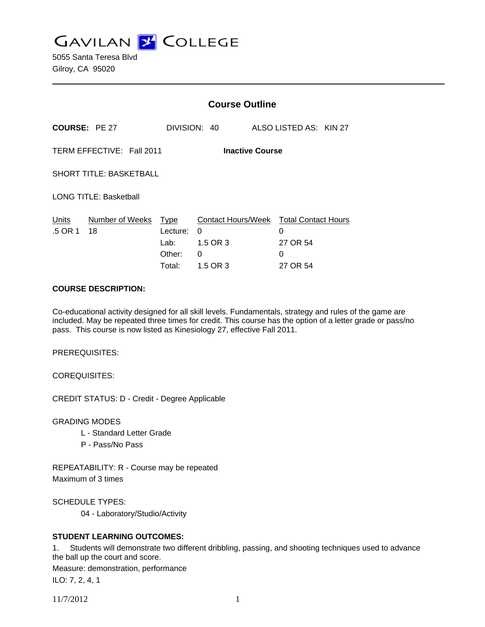**GAVILAN Z COLLEGE** 

5055 Santa Teresa Blvd Gilroy, CA 95020

|                                                     |                       | <b>Course Outline</b>                               |                                                      |                                                              |  |
|-----------------------------------------------------|-----------------------|-----------------------------------------------------|------------------------------------------------------|--------------------------------------------------------------|--|
|                                                     | <b>COURSE: PE 27</b>  |                                                     | DIVISION: 40                                         | ALSO LISTED AS: KIN 27                                       |  |
| TERM EFFECTIVE: Fall 2011<br><b>Inactive Course</b> |                       |                                                     |                                                      |                                                              |  |
| <b>SHORT TITLE: BASKETBALL</b>                      |                       |                                                     |                                                      |                                                              |  |
| <b>LONG TITLE: Basketball</b>                       |                       |                                                     |                                                      |                                                              |  |
| Units<br>.5 OR 1                                    | Number of Weeks<br>18 | <b>Type</b><br>Lecture:<br>Lab:<br>Other:<br>Total: | Contact Hours/Week<br>0<br>1.5 OR 3<br>0<br>1.5 OR 3 | <b>Total Contact Hours</b><br>0<br>27 OR 54<br>0<br>27 OR 54 |  |

#### **COURSE DESCRIPTION:**

Co-educational activity designed for all skill levels. Fundamentals, strategy and rules of the game are included. May be repeated three times for credit. This course has the option of a letter grade or pass/no pass. This course is now listed as Kinesiology 27, effective Fall 2011.

PREREQUISITES:

COREQUISITES:

CREDIT STATUS: D - Credit - Degree Applicable

GRADING MODES

- L Standard Letter Grade
- P Pass/No Pass

REPEATABILITY: R - Course may be repeated Maximum of 3 times

SCHEDULE TYPES:

04 - Laboratory/Studio/Activity

## **STUDENT LEARNING OUTCOMES:**

1. Students will demonstrate two different dribbling, passing, and shooting techniques used to advance the ball up the court and score. Measure: demonstration, performance

ILO: 7, 2, 4, 1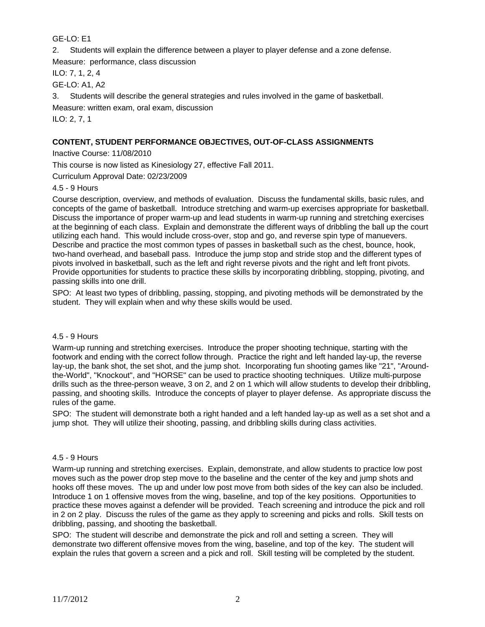# GE-LO: E1

2. Students will explain the difference between a player to player defense and a zone defense.

Measure: performance, class discussion

ILO: 7, 1, 2, 4

GE-LO: A1, A2

3. Students will describe the general strategies and rules involved in the game of basketball.

Measure: written exam, oral exam, discussion

ILO: 2, 7, 1

# **CONTENT, STUDENT PERFORMANCE OBJECTIVES, OUT-OF-CLASS ASSIGNMENTS**

Inactive Course: 11/08/2010

This course is now listed as Kinesiology 27, effective Fall 2011.

Curriculum Approval Date: 02/23/2009

4.5 - 9 Hours

Course description, overview, and methods of evaluation. Discuss the fundamental skills, basic rules, and concepts of the game of basketball. Introduce stretching and warm-up exercises appropriate for basketball. Discuss the importance of proper warm-up and lead students in warm-up running and stretching exercises at the beginning of each class. Explain and demonstrate the different ways of dribbling the ball up the court utilizing each hand. This would include cross-over, stop and go, and reverse spin type of manuevers. Describe and practice the most common types of passes in basketball such as the chest, bounce, hook, two-hand overhead, and baseball pass. Introduce the jump stop and stride stop and the different types of pivots involved in basketball, such as the left and right reverse pivots and the right and left front pivots. Provide opportunities for students to practice these skills by incorporating dribbling, stopping, pivoting, and passing skills into one drill.

SPO: At least two types of dribbling, passing, stopping, and pivoting methods will be demonstrated by the student. They will explain when and why these skills would be used.

#### 4.5 - 9 Hours

Warm-up running and stretching exercises. Introduce the proper shooting technique, starting with the footwork and ending with the correct follow through. Practice the right and left handed lay-up, the reverse lay-up, the bank shot, the set shot, and the jump shot. Incorporating fun shooting games like "21", "Aroundthe-World", "Knockout", and "HORSE" can be used to practice shooting techniques. Utilize multi-purpose drills such as the three-person weave, 3 on 2, and 2 on 1 which will allow students to develop their dribbling, passing, and shooting skills. Introduce the concepts of player to player defense. As appropriate discuss the rules of the game.

SPO: The student will demonstrate both a right handed and a left handed lay-up as well as a set shot and a jump shot. They will utilize their shooting, passing, and dribbling skills during class activities.

## 4.5 - 9 Hours

Warm-up running and stretching exercises. Explain, demonstrate, and allow students to practice low post moves such as the power drop step move to the baseline and the center of the key and jump shots and hooks off these moves. The up and under low post move from both sides of the key can also be included. Introduce 1 on 1 offensive moves from the wing, baseline, and top of the key positions. Opportunities to practice these moves against a defender will be provided. Teach screening and introduce the pick and roll in 2 on 2 play. Discuss the rules of the game as they apply to screening and picks and rolls. Skill tests on dribbling, passing, and shooting the basketball.

SPO: The student will describe and demonstrate the pick and roll and setting a screen. They will demonstrate two different offensive moves from the wing, baseline, and top of the key. The student will explain the rules that govern a screen and a pick and roll. Skill testing will be completed by the student.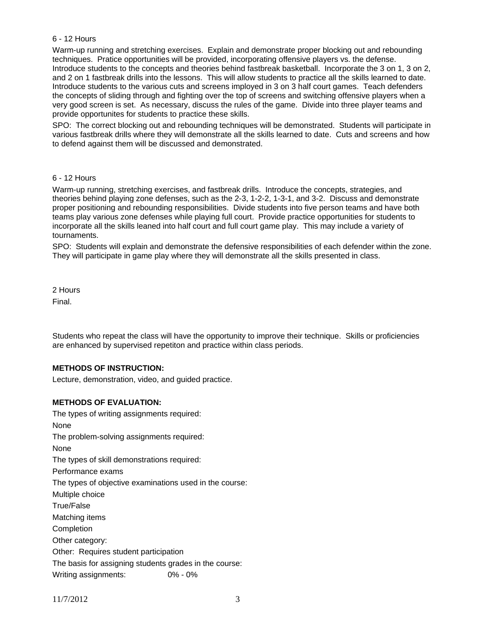### 6 - 12 Hours

Warm-up running and stretching exercises. Explain and demonstrate proper blocking out and rebounding techniques. Pratice opportunities will be provided, incorporating offensive players vs. the defense. Introduce students to the concepts and theories behind fastbreak basketball. Incorporate the 3 on 1, 3 on 2, and 2 on 1 fastbreak drills into the lessons. This will allow students to practice all the skills learned to date. Introduce students to the various cuts and screens imployed in 3 on 3 half court games. Teach defenders the concepts of sliding through and fighting over the top of screens and switching offensive players when a very good screen is set. As necessary, discuss the rules of the game. Divide into three player teams and provide opportunites for students to practice these skills.

SPO: The correct blocking out and rebounding techniques will be demonstrated. Students will participate in various fastbreak drills where they will demonstrate all the skills learned to date. Cuts and screens and how to defend against them will be discussed and demonstrated.

### 6 - 12 Hours

Warm-up running, stretching exercises, and fastbreak drills. Introduce the concepts, strategies, and theories behind playing zone defenses, such as the 2-3, 1-2-2, 1-3-1, and 3-2. Discuss and demonstrate proper positioning and rebounding responsibilities. Divide students into five person teams and have both teams play various zone defenses while playing full court. Provide practice opportunities for students to incorporate all the skills leaned into half court and full court game play. This may include a variety of tournaments.

SPO: Students will explain and demonstrate the defensive responsibilities of each defender within the zone. They will participate in game play where they will demonstrate all the skills presented in class.

2 Hours Final.

Students who repeat the class will have the opportunity to improve their technique. Skills or proficiencies are enhanced by supervised repetiton and practice within class periods.

## **METHODS OF INSTRUCTION:**

Lecture, demonstration, video, and guided practice.

## **METHODS OF EVALUATION:**

The types of writing assignments required: None The problem-solving assignments required: None The types of skill demonstrations required: Performance exams The types of objective examinations used in the course: Multiple choice True/False Matching items **Completion** Other category: Other: Requires student participation The basis for assigning students grades in the course: Writing assignments: 0% - 0%